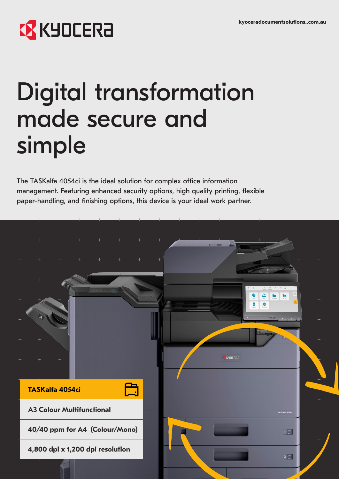# **EX** KYOCERA

# Digital transformation made secure and simple

The TASKalfa 4054ci is the ideal solution for complex office information management. Featuring enhanced security options, high quality printing, flexible paper-handling, and finishing options, this device is your ideal work partner.